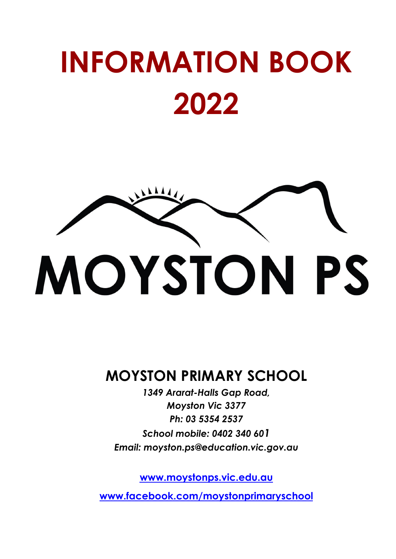# **INFORMATION BOOK 2022**



## **MOYSTON PRIMARY SCHOOL**

*1349 Ararat-Halls Gap Road, Moyston Vic 3377 Ph: 03 5354 2537 School mobile: 0402 340 601 Email: [moyston.ps@education.vic.gov.au](mailto:moyston.ps@education.vic.gov.au)*

**[www.moystonps.vic.edu.au](http://www.moystonps.vic.edu.au)**

**w[ww.facebook.com/moystonprimaryschool](http://www.facebook.com/moystonprimaryschool)**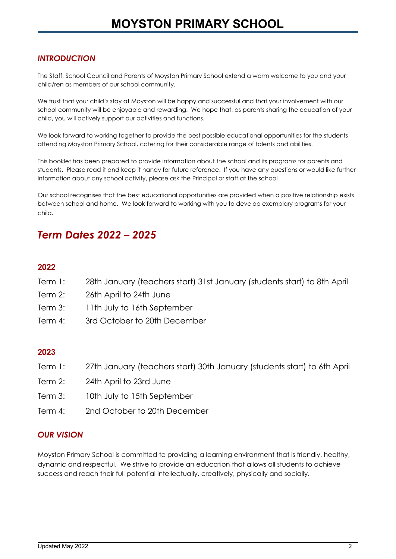#### *INTRODUCTION*

The Staff, School Council and Parents of Moyston Primary School extend a warm welcome to you and your child/ren as members of our school community.

We trust that your child's stay at Moyston will be happy and successful and that your involvement with our school community will be enjoyable and rewarding. We hope that, as parents sharing the education of your child, you will actively support our activities and functions.

We look forward to working together to provide the best possible educational opportunities for the students attending Moyston Primary School, catering for their considerable range of talents and abilities.

This booklet has been prepared to provide information about the school and its programs for parents and students. Please read it and keep it handy for future reference. If you have any questions or would like further information about any school activity, please ask the Principal or staff at the school

Our school recognises that the best educational opportunities are provided when a positive relationship exists between school and home. We look forward to working with you to develop exemplary programs for your child.

### *Term Dates 2022 – 2025*

#### **2022**

- Term 1: 28th January (teachers start) 31st January (students start) to 8th April
- Term 2: 26th April to 24th June
- Term 3: 11th July to 16th September
- Term 4: 3rd October to 20th December

#### **2023**

- Term 1: 27th January (teachers start) 30th January (students start) to 6th April
- Term 2: 24th April to 23rd June
- Term 3: 10th July to 15th September
- Term 4: 2nd October to 20th December

#### *OUR VISION*

Moyston Primary School is committed to providing a learning environment that is friendly, healthy, dynamic and respectful. We strive to provide an education that allows all students to achieve success and reach their full potential intellectually, creatively, physically and socially.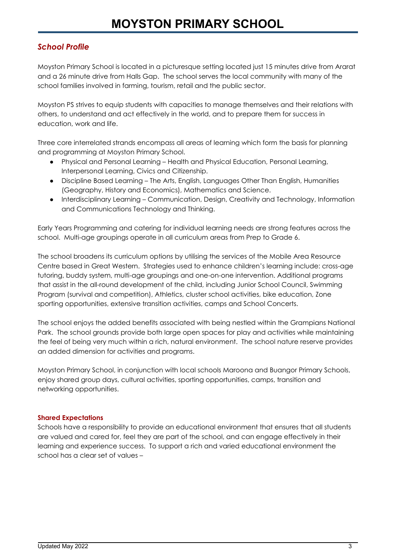#### *School Profile*

Moyston Primary School is located in a picturesque setting located just 15 minutes drive from Ararat and a 26 minute drive from Halls Gap. The school serves the local community with many of the school families involved in farming, tourism, retail and the public sector.

Moyston PS strives to equip students with capacities to manage themselves and their relations with others, to understand and act effectively in the world, and to prepare them for success in education, work and life.

Three core interrelated strands encompass all areas of learning which form the basis for planning and programming at Moyston Primary School.

- Physical and Personal Learning Health and Physical Education, Personal Learning, Interpersonal Learning, Civics and Citizenship.
- Discipline Based Learning The Arts, English, Languages Other Than English, Humanities (Geography, History and Economics), Mathematics and Science.
- Interdisciplinary Learning Communication, Design, Creativity and Technology, Information and Communications Technology and Thinking.

Early Years Programming and catering for individual learning needs are strong features across the school. Multi-age groupings operate in all curriculum areas from Prep to Grade 6.

The school broadens its curriculum options by utilising the services of the Mobile Area Resource Centre based in Great Western. Strategies used to enhance children's learning include: cross-age tutoring, buddy system, multi-age groupings and one-on-one intervention. Additional programs that assist in the all-round development of the child, including Junior School Council, Swimming Program (survival and competition), Athletics, cluster school activities, bike education, Zone sporting opportunities, extensive transition activities, camps and School Concerts.

The school enjoys the added benefits associated with being nestled within the Grampians National Park. The school grounds provide both large open spaces for play and activities while maintaining the feel of being very much within a rich, natural environment. The school nature reserve provides an added dimension for activities and programs.

Moyston Primary School, in conjunction with local schools Maroona and Buangor Primary Schools, enjoy shared group days, cultural activities, sporting opportunities, camps, transition and networking opportunities.

#### **Shared Expectations**

Schools have a responsibility to provide an educational environment that ensures that all students are valued and cared for, feel they are part of the school, and can engage effectively in their learning and experience success. To support a rich and varied educational environment the school has a clear set of values –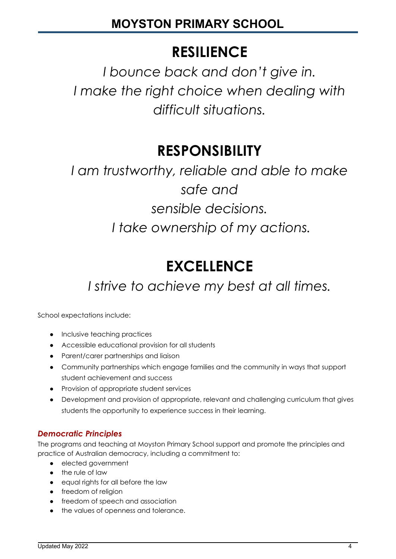## **RESILIENCE**

*I bounce back and don't give in. I make the right choice when dealing with difficult situations.*

## **RESPONSIBILITY**

*I am trustworthy, reliable and able to make safe and sensible decisions. I take ownership of my actions.*

## **EXCELLENCE**

*I strive to achieve my best at all times.*

School expectations include:

- Inclusive teaching practices
- Accessible educational provision for all students
- Parent/carer partnerships and liaison
- Community partnerships which engage families and the community in ways that support student achievement and success
- Provision of appropriate student services
- Development and provision of appropriate, relevant and challenging curriculum that gives students the opportunity to experience success in their learning.

#### *Democratic Principles*

The programs and teaching at Moyston Primary School support and promote the principles and practice of Australian democracy, including a commitment to:

- elected government
- the rule of law
- equal rights for all before the law
- freedom of religion
- freedom of speech and association
- the values of openness and tolerance.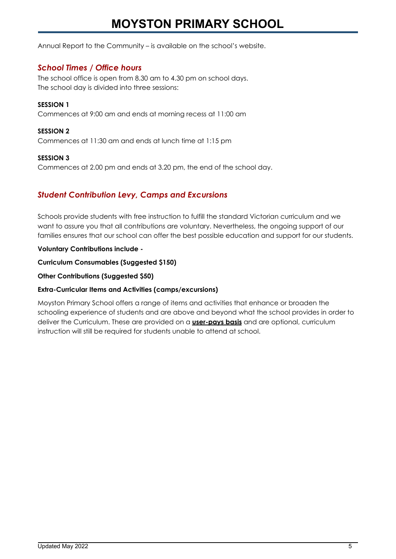Annual Report to the Community – is available on the school's website.

#### *School Times / Office hours*

The school office is open from 8.30 am to 4.30 pm on school days. The school day is divided into three sessions:

#### **SESSION 1**

Commences at 9:00 am and ends at morning recess at 11:00 am

#### **SESSION 2**

Commences at 11:30 am and ends at lunch time at 1:15 pm

#### **SESSION 3**

Commences at 2.00 pm and ends at 3.20 pm, the end of the school day.

#### *Student Contribution Levy, Camps and Excursions*

Schools provide students with free instruction to fulfill the standard Victorian curriculum and we want to assure you that all contributions are voluntary. Nevertheless, the ongoing support of our families ensures that our school can offer the best possible education and support for our students.

#### **Voluntary Contributions include -**

**Curriculum Consumables (Suggested \$150)**

**Other Contributions (Suggested \$50)**

#### **Extra-Curricular Items and Activities (camps/excursions)**

Moyston Primary School offers a range of items and activities that enhance or broaden the schooling experience of students and are above and beyond what the school provides in order to deliver the Curriculum. These are provided on a **user-pays basis** and are optional, curriculum instruction will still be required for students unable to attend at school.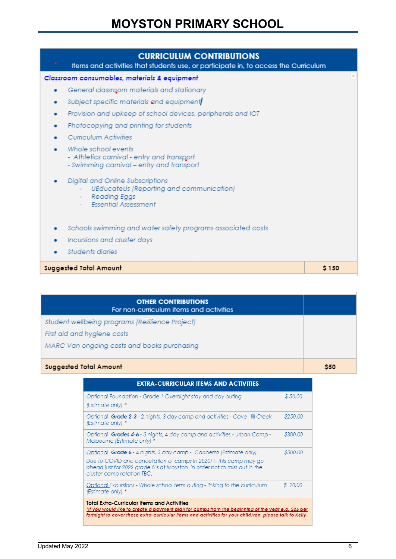| <b>CURRICULUM CONTRIBUTIONS</b><br>Items and activities that students use, or participate in, to access the Curriculum                       |       |
|----------------------------------------------------------------------------------------------------------------------------------------------|-------|
| Classroom consumables, materials & equipment                                                                                                 |       |
| General classroom materials and stationary<br>٠                                                                                              |       |
| Subject specific materials and equipment<br>۰                                                                                                |       |
| Provision and upkeep of school devices, peripherals and ICT                                                                                  |       |
| Photocopying and printing for students<br>۰                                                                                                  |       |
| Curriculum Activities                                                                                                                        |       |
| Whole school events<br>- Athletics carnival - entry and transport<br>- Swimming carnival - entry and transport                               |       |
| Digital and Online Subscriptions<br>UEducateUs (Reporting and communication)<br><b>Reading Eggs</b><br>$\sim$<br><b>Essential Assessment</b> |       |
| Schools swimming and water safety programs associated costs                                                                                  |       |
| Incursions and cluster days                                                                                                                  |       |
| Students diaries                                                                                                                             |       |
| Suggested Total Amount                                                                                                                       | \$150 |

| <b>OTHER CONTRIBUTIONS</b><br>For non-curriculum items and activities |            |
|-----------------------------------------------------------------------|------------|
| Student wellbeing programs (Resilience Project)                       |            |
| First aid and hygiene costs                                           |            |
| MARC Van ongoing costs and books purchasing                           |            |
| Suggested Total Amount                                                | <b>S50</b> |

| <b>EXTRA-CURRICULAR ITEMS AND ACTIVITIES</b>                                                                                                                                                                                                                         |          |  |  |
|----------------------------------------------------------------------------------------------------------------------------------------------------------------------------------------------------------------------------------------------------------------------|----------|--|--|
| Optional Foundation - Grade 1 Overnight stay and day outing<br>(Estimate only) *                                                                                                                                                                                     | \$50,00  |  |  |
| Optional Grade 2-3 - 2 nights, 3 day camp and activities - Cave Hill Creek<br>(Estimate only) *                                                                                                                                                                      | \$250.00 |  |  |
| Optional <b>Grades 4-6</b> - 3 nights, 4 day camp and activities - Urban Camp -<br>Melbourne (Estimate only) *                                                                                                                                                       | \$300.00 |  |  |
| Optional Grade 6 - 4 nights, 5 day camp - Canberra (Estimate only)<br>Due to COVID and cancellation of camps in 2020/1, this camp may go<br>ahead just for 2022 arade 6's at Moyston in order not to miss out in the<br>cluster camp rotation TBC.                   | \$500.00 |  |  |
| Optional Excursions - Whole school term outing - linking to the curriculum<br>(Estimate only) *                                                                                                                                                                      | \$20.00  |  |  |
| <b>Total Extra-Curricular Items and Activities</b><br>*If you would like to create a payment plan for camps from the beginning of the year e.g. \$25 per<br>fortnight to cover these extra-curricular items and activities for your child/ren, please talk to Kelly. |          |  |  |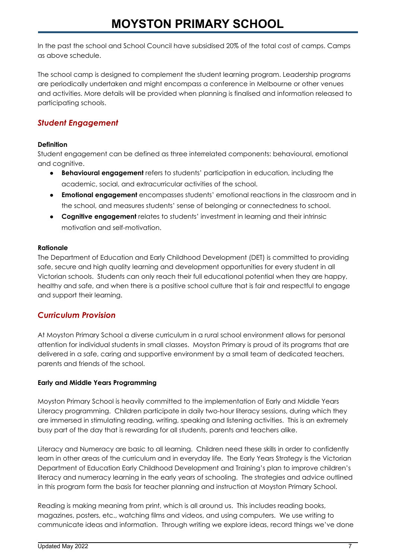In the past the school and School Council have subsidised 20% of the total cost of camps. Camps as above schedule.

The school camp is designed to complement the student learning program. Leadership programs are periodically undertaken and might encompass a conference in Melbourne or other venues and activities. More details will be provided when planning is finalised and information released to participating schools.

#### *Student Engagement*

#### **Definition**

Student engagement can be defined as three interrelated components: behavioural, emotional and cognitive.

- **Behavioural engagement** refers to students' participation in education, including the academic, social, and extracurricular activities of the school.
- **Emotional engagement** encompasses students' emotional reactions in the classroom and in the school, and measures students' sense of belonging or connectedness to school.
- **Cognitive engagement** relates to students' investment in learning and their intrinsic motivation and self-motivation.

#### **Rationale**

The Department of Education and Early Childhood Development (DET) is committed to providing safe, secure and high quality learning and development opportunities for every student in all Victorian schools. Students can only reach their full educational potential when they are happy, healthy and safe, and when there is a positive school culture that is fair and respectful to engage and support their learning.

#### *Curriculum Provision*

At Moyston Primary School a diverse curriculum in a rural school environment allows for personal attention for individual students in small classes. Moyston Primary is proud of its programs that are delivered in a safe, caring and supportive environment by a small team of dedicated teachers, parents and friends of the school.

#### **Early and Middle Years Programming**

Moyston Primary School is heavily committed to the implementation of Early and Middle Years Literacy programming. Children participate in daily two-hour literacy sessions, during which they are immersed in stimulating reading, writing, speaking and listening activities. This is an extremely busy part of the day that is rewarding for all students, parents and teachers alike.

Literacy and Numeracy are basic to all learning. Children need these skills in order to confidently learn in other areas of the curriculum and in everyday life. The Early Years Strategy is the Victorian Department of Education Early Childhood Development and Training's plan to improve children's literacy and numeracy learning in the early years of schooling. The strategies and advice outlined in this program form the basis for teacher planning and instruction at Moyston Primary School.

Reading is making meaning from print, which is all around us. This includes reading books, magazines, posters, etc., watching films and videos, and using computers. We use writing to communicate ideas and information. Through writing we explore ideas, record things we've done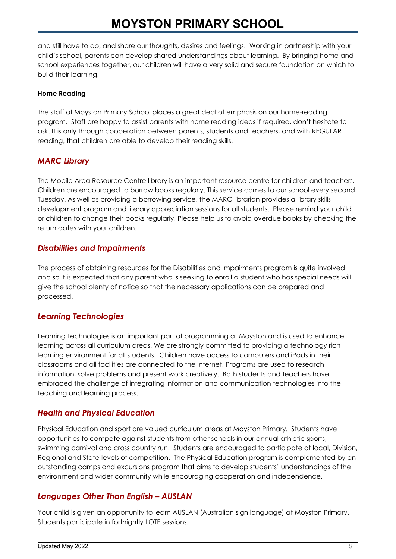and still have to do, and share our thoughts, desires and feelings. Working in partnership with your child's school, parents can develop shared understandings about learning. By bringing home and school experiences together, our children will have a very solid and secure foundation on which to build their learning.

#### **Home Reading**

The staff of Moyston Primary School places a great deal of emphasis on our home-reading program. Staff are happy to assist parents with home reading ideas if required, don't hesitate to ask. It is only through cooperation between parents, students and teachers, and with REGULAR reading, that children are able to develop their reading skills.

#### *MARC Library*

The Mobile Area Resource Centre library is an important resource centre for children and teachers. Children are encouraged to borrow books regularly. This service comes to our school every second Tuesday. As well as providing a borrowing service, the MARC librarian provides a library skills development program and literary appreciation sessions for all students. Please remind your child or children to change their books regularly. Please help us to avoid overdue books by checking the return dates with your children.

#### *Disabilities and Impairments*

The process of obtaining resources for the Disabilities and Impairments program is quite involved and so it is expected that any parent who is seeking to enroll a student who has special needs will give the school plenty of notice so that the necessary applications can be prepared and processed.

#### *Learning Technologies*

Learning Technologies is an important part of programming at Moyston and is used to enhance learning across all curriculum areas. We are strongly committed to providing a technology rich learning environment for all students. Children have access to computers and iPads in their classrooms and all facilities are connected to the internet. Programs are used to research information, solve problems and present work creatively. Both students and teachers have embraced the challenge of integrating information and communication technologies into the teaching and learning process.

#### *Health and Physical Education*

Physical Education and sport are valued curriculum areas at Moyston Primary. Students have opportunities to compete against students from other schools in our annual athletic sports, swimming carnival and cross country run. Students are encouraged to participate at local, Division, Regional and State levels of competition. The Physical Education program is complemented by an outstanding camps and excursions program that aims to develop students' understandings of the environment and wider community while encouraging cooperation and independence.

#### *Languages Other Than English – AUSLAN*

Your child is given an opportunity to learn AUSLAN (Australian sign language) at Moyston Primary. Students participate in fortnightly LOTE sessions.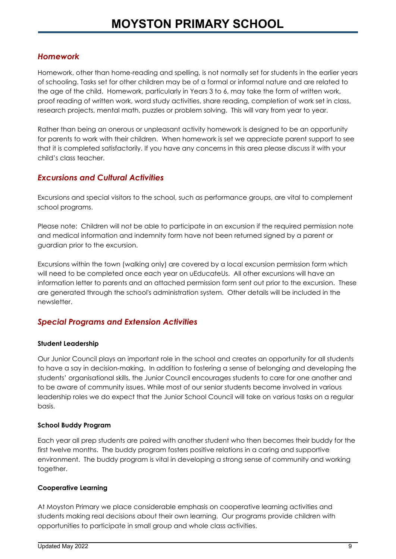#### *Homework*

Homework, other than home-reading and spelling, is not normally set for students in the earlier years of schooling. Tasks set for other children may be of a formal or informal nature and are related to the age of the child. Homework, particularly in Years 3 to 6, may take the form of written work, proof reading of written work, word study activities, share reading, completion of work set in class, research projects, mental math, puzzles or problem solving. This will vary from year to year.

Rather than being an onerous or unpleasant activity homework is designed to be an opportunity for parents to work with their children. When homework is set we appreciate parent support to see that it is completed satisfactorily. If you have any concerns in this area please discuss it with your child's class teacher.

#### *Excursions and Cultural Activities*

Excursions and special visitors to the school, such as performance groups, are vital to complement school programs.

Please note: Children will not be able to participate in an excursion if the required permission note and medical information and indemnity form have not been returned signed by a parent or guardian prior to the excursion.

Excursions within the town (walking only) are covered by a local excursion permission form which will need to be completed once each year on uEducateUs. All other excursions will have an information letter to parents and an attached permission form sent out prior to the excursion. These are generated through the school's administration system. Other details will be included in the newsletter.

#### *Special Programs and Extension Activities*

#### **Student Leadership**

Our Junior Council plays an important role in the school and creates an opportunity for all students to have a say in decision-making. In addition to fostering a sense of belonging and developing the students' organisational skills, the Junior Council encourages students to care for one another and to be aware of community issues. While most of our senior students become involved in various leadership roles we do expect that the Junior School Council will take on various tasks on a regular basis.

#### **School Buddy Program**

Each year all prep students are paired with another student who then becomes their buddy for the first twelve months. The buddy program fosters positive relations in a caring and supportive environment. The buddy program is vital in developing a strong sense of community and working together.

#### **Cooperative Learning**

At Moyston Primary we place considerable emphasis on cooperative learning activities and students making real decisions about their own learning. Our programs provide children with opportunities to participate in small group and whole class activities.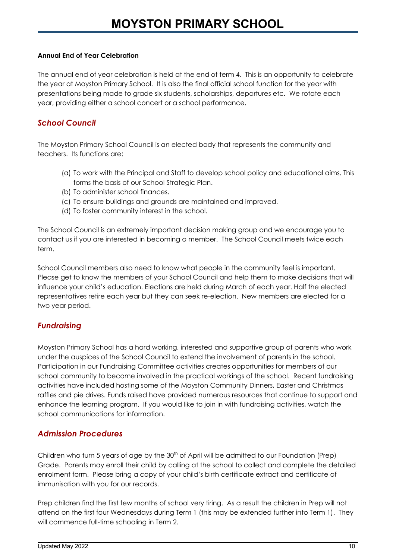#### **Annual End of Year Celebration**

The annual end of year celebration is held at the end of term 4. This is an opportunity to celebrate the year at Moyston Primary School. It is also the final official school function for the year with presentations being made to grade six students, scholarships, departures etc. We rotate each year, providing either a school concert or a school performance.

#### *School Council*

The Moyston Primary School Council is an elected body that represents the community and teachers. Its functions are:

- (a) To work with the Principal and Staff to develop school policy and educational aims. This forms the basis of our School Strategic Plan.
- (b) To administer school finances.
- (c) To ensure buildings and grounds are maintained and improved.
- (d) To foster community interest in the school.

The School Council is an extremely important decision making group and we encourage you to contact us if you are interested in becoming a member. The School Council meets twice each term.

School Council members also need to know what people in the community feel is important. Please get to know the members of your School Council and help them to make decisions that will influence your child's education. Elections are held during March of each year. Half the elected representatives retire each year but they can seek re-election. New members are elected for a two year period.

#### *Fundraising*

Moyston Primary School has a hard working, interested and supportive group of parents who work under the auspices of the School Council to extend the involvement of parents in the school. Participation in our Fundraising Committee activities creates opportunities for members of our school community to become involved in the practical workings of the school. Recent fundraising activities have included hosting some of the Moyston Community Dinners, Easter and Christmas raffles and pie drives. Funds raised have provided numerous resources that continue to support and enhance the learning program. If you would like to join in with fundraising activities, watch the school communications for information.

#### *Admission Procedures*

Children who turn 5 years of age by the  $30<sup>th</sup>$  of April will be admitted to our Foundation (Prep) Grade. Parents may enroll their child by calling at the school to collect and complete the detailed enrolment form. Please bring a copy of your child's birth certificate extract and certificate of immunisation with you for our records.

Prep children find the first few months of school very tiring. As a result the children in Prep will not attend on the first four Wednesdays during Term 1 (this may be extended further into Term 1). They will commence full-time schooling in Term 2.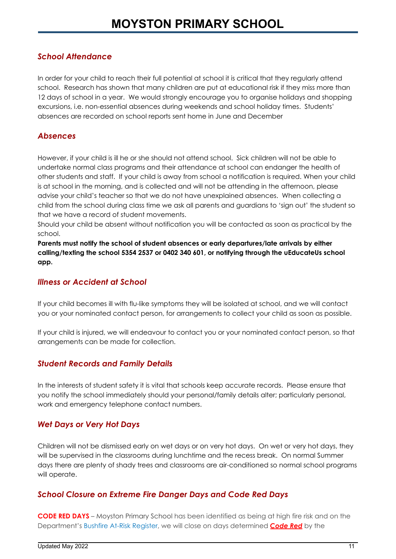#### *School Attendance*

In order for your child to reach their full potential at school it is critical that they regularly attend school. Research has shown that many children are put at educational risk if they miss more than 12 days of school in a year. We would strongly encourage you to organise holidays and shopping excursions, i.e. non-essential absences during weekends and school holiday times. Students' absences are recorded on school reports sent home in June and December

#### *Absences*

However, if your child is ill he or she should not attend school. Sick children will not be able to undertake normal class programs and their attendance at school can endanger the health of other students and staff. If your child is away from school a notification is required. When your child is at school in the morning, and is collected and will not be attending in the afternoon, please advise your child's teacher so that we do not have unexplained absences. When collecting a child from the school during class time we ask all parents and guardians to 'sign out' the student so that we have a record of student movements.

Should your child be absent without notification you will be contacted as soon as practical by the school.

**Parents must notify the school of student absences or early departures/late arrivals by either calling/texting the school 5354 2537 or 0402 340 601, or notifying through the uEducateUs school app.**

#### *Illness or Accident at School*

If your child becomes ill with flu-like symptoms they will be isolated at school, and we will contact you or your nominated contact person, for arrangements to collect your child as soon as possible.

If your child is injured, we will endeavour to contact you or your nominated contact person, so that arrangements can be made for collection.

#### *Student Records and Family Details*

In the interests of student safety it is vital that schools keep accurate records. Please ensure that you notify the school immediately should your personal/family details alter; particularly personal, work and emergency telephone contact numbers.

#### *Wet Days or Very Hot Days*

Children will not be dismissed early on wet days or on very hot days. On wet or very hot days, they will be supervised in the classrooms during lunchtime and the recess break. On normal Summer days there are plenty of shady trees and classrooms are air-conditioned so normal school programs will operate.

#### *School Closure on Extreme Fire Danger Days and Code Red Days*

**CODE RED DAYS** – Moyston Primary School has been identified as being at high fire risk and on the Department's Bushfire At-Risk [Register](http://www.education.vic.gov.au/about/programs/health/Pages/bushfirerisk.aspx), we will close on days determined *Code Red* by the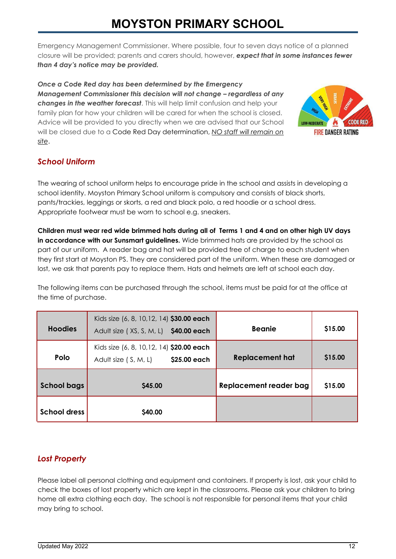Emergency Management Commissioner. Where possible, four to seven days notice of a planned closure will be provided; parents and carers should, however, *expect that in some instances fewer than 4 day's notice may be provided.*

*Once a Code Red day has been determined by the Emergency Management Commissioner this decision will not change – regardless of any changes in the weather forecast*. This will help limit confusion and help your family plan for how your children will be cared for when the school is closed. Advice will be provided to you directly when we are advised that our School will be closed due to a Code Red Day determination, *NO staff will remain on site*.



#### *School Uniform*

The wearing of school uniform helps to encourage pride in the school and assists in developing a school identity. Moyston Primary School uniform is compulsory and consists of black shorts, pants/trackies, leggings or skorts, a red and black polo, a red hoodie or a school dress. Appropriate footwear must be worn to school e.g. sneakers.

Children must wear red wide brimmed hats during all of Terms 1 and 4 and on other high UV days **in accordance with our Sunsmart guidelines.** Wide brimmed hats are provided by the school as part of our uniform. A reader bag and hat will be provided free of charge to each student when they first start at Moyston PS. They are considered part of the uniform. When these are damaged or lost, we ask that parents pay to replace them. Hats and helmets are left at school each day.

The following items can be purchased through the school, items must be paid for at the office at the time of purchase.

| <b>Hoodies</b>      | Kids size (6, 8, 10, 12, 14) \$30.00 each<br>Adult size (XS, S, M, L) \$40.00 each | <b>Beanie</b>          | \$15.00 |
|---------------------|------------------------------------------------------------------------------------|------------------------|---------|
| <b>Polo</b>         | Kids size (6, 8, 10, 12, 14) \$20.00 each<br>\$25.00 each<br>Adult size (S, M, L)  | <b>Replacement hat</b> | \$15.00 |
| <b>School bags</b>  | \$45.00                                                                            | Replacement reader bag | \$15.00 |
| <b>School dress</b> | \$40.00                                                                            |                        |         |

#### *Lost Property*

Please label all personal clothing and equipment and containers. If property is lost, ask your child to check the boxes of lost property which are kept in the classrooms. Please ask your children to bring home all extra clothing each day. The school is not responsible for personal items that your child may bring to school.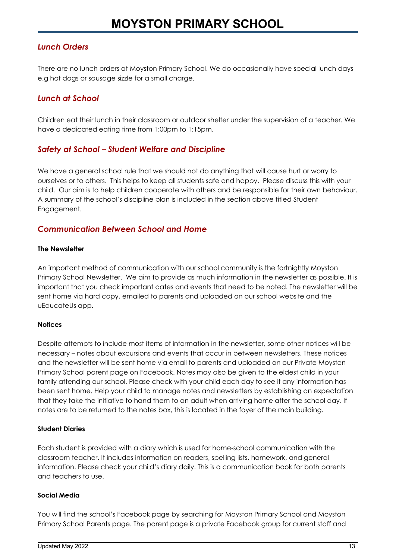#### *Lunch Orders*

There are no lunch orders at Moyston Primary School. We do occasionally have special lunch days e.g hot dogs or sausage sizzle for a small charge.

#### *Lunch at School*

Children eat their lunch in their classroom or outdoor shelter under the supervision of a teacher. We have a dedicated eating time from 1:00pm to 1:15pm.

#### *Safety at School – Student Welfare and Discipline*

We have a general school rule that we should not do anything that will cause hurt or worry to ourselves or to others. This helps to keep all students safe and happy. Please discuss this with your child. Our aim is to help children cooperate with others and be responsible for their own behaviour. A summary of the school's discipline plan is included in the section above titled Student Engagement.

#### *Communication Between School and Home*

#### **The Newsletter**

An important method of communication with our school community is the fortnightly Moyston Primary School Newsletter. We aim to provide as much information in the newsletter as possible. It is important that you check important dates and events that need to be noted. The newsletter will be sent home via hard copy, emailed to parents and uploaded on our school website and the uEducateUs app.

#### **Notices**

Despite attempts to include most items of information in the newsletter, some other notices will be necessary – notes about excursions and events that occur in between newsletters. These notices and the newsletter will be sent home via email to parents and uploaded on our Private Moyston Primary School parent page on Facebook. Notes may also be given to the eldest child in your family attending our school. Please check with your child each day to see if any information has been sent home. Help your child to manage notes and newsletters by establishing an expectation that they take the initiative to hand them to an adult when arriving home after the school day. If notes are to be returned to the notes box, this is located in the foyer of the main building.

#### **Student Diaries**

Each student is provided with a diary which is used for home-school communication with the classroom teacher. It includes information on readers, spelling lists, homework, and general information. Please check your child's diary daily. This is a communication book for both parents and teachers to use.

#### **Social Media**

You will find the school's Facebook page by searching for Moyston Primary School and Moyston Primary School Parents page. The parent page is a private Facebook group for current staff and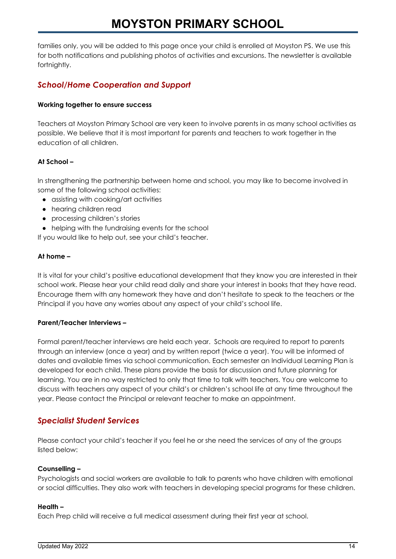families only, you will be added to this page once your child is enrolled at Moyston PS. We use this for both notifications and publishing photos of activities and excursions. The newsletter is available fortnightly.

#### *School/Home Cooperation and Support*

#### **Working together to ensure success**

Teachers at Moyston Primary School are very keen to involve parents in as many school activities as possible. We believe that it is most important for parents and teachers to work together in the education of all children.

#### **At School –**

In strengthening the partnership between home and school, you may like to become involved in some of the following school activities:

- assisting with cooking/art activities
- **●** hearing children read
- **●** processing children's stories
- **●** helping with the fundraising events for the school

If you would like to help out, see your child's teacher.

#### **At home –**

It is vital for your child's positive educational development that they know you are interested in their school work. Please hear your child read daily and share your interest in books that they have read. Encourage them with any homework they have and don't hesitate to speak to the teachers or the Principal if you have any worries about any aspect of your child's school life.

#### **Parent/Teacher Interviews –**

Formal parent/teacher interviews are held each year. Schools are required to report to parents through an interview (once a year) and by written report (twice a year). You will be informed of dates and available times via school communication. Each semester an Individual Learning Plan is developed for each child. These plans provide the basis for discussion and future planning for learning. You are in no way restricted to only that time to talk with teachers. You are welcome to discuss with teachers any aspect of your child's or children's school life at any time throughout the year. Please contact the Principal or relevant teacher to make an appointment.

#### *Specialist Student Services*

Please contact your child's teacher if you feel he or she need the services of any of the groups listed below:

#### **Counselling –**

Psychologists and social workers are available to talk to parents who have children with emotional or social difficulties. They also work with teachers in developing special programs for these children.

#### **Health –**

Each Prep child will receive a full medical assessment during their first year at school.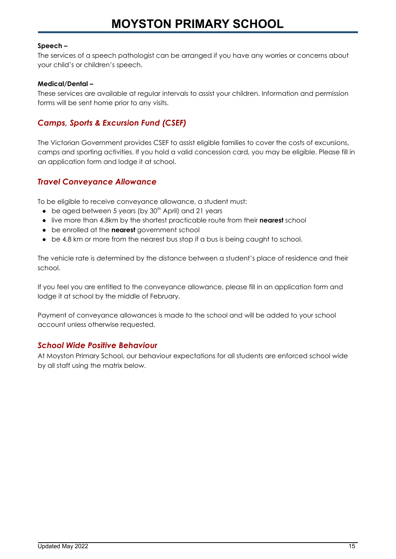#### **Speech –**

The services of a speech pathologist can be arranged if you have any worries or concerns about your child's or children's speech.

#### **Medical/Dental –**

These services are available at regular intervals to assist your children. Information and permission forms will be sent home prior to any visits.

#### *Camps, Sports & Excursion Fund (CSEF)*

The Victorian Government provides CSEF to assist eligible families to cover the costs of excursions, camps and sporting activities. If you hold a valid concession card, you may be eligible. Please fill in an application form and lodge it at school.

#### *Travel Conveyance Allowance*

To be eligible to receive conveyance allowance, a student must:

- **●** be aged between 5 years (by 30 th April) and 21 years
- **●** live more than 4.8km by the shortest practicable route from their **nearest** school
- **●** be enrolled at the **nearest** government school
- **●** be 4.8 km or more from the nearest bus stop if a bus is being caught to school.

The vehicle rate is determined by the distance between a student's place of residence and their school.

If you feel you are entitled to the conveyance allowance, please fill in an application form and lodge it at school by the middle of February.

Payment of conveyance allowances is made to the school and will be added to your school account unless otherwise requested.

#### *School Wide Positive Behaviour*

At Moyston Primary School, our behaviour expectations for all students are enforced school wide by all staff using the matrix below.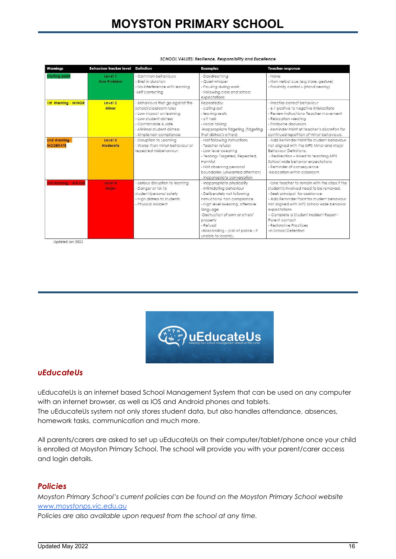| Warnings                         | <b>Behaviour tracker level</b> | <b>Definition</b>                                                                                                                                                                                 | <b>Examples</b>                                                                                                                                                                                                                                                                                | <b>Teacher response</b>                                                                                                                                                                                                                                                                                                                             |
|----------------------------------|--------------------------------|---------------------------------------------------------------------------------------------------------------------------------------------------------------------------------------------------|------------------------------------------------------------------------------------------------------------------------------------------------------------------------------------------------------------------------------------------------------------------------------------------------|-----------------------------------------------------------------------------------------------------------------------------------------------------------------------------------------------------------------------------------------------------------------------------------------------------------------------------------------------------|
| <b>Starting point</b>            | Level 1<br>Non Problem         | - Common behaviours<br>- Brief in duration<br>- No interference with learning<br>-Self Correcting                                                                                                 | - Daydreaming<br>- Quiet whisper<br>- Pausing during work<br>- Following class and school<br>expectations                                                                                                                                                                                      | - None<br>- Non verbal cue (e.g stare, gesture)<br>- Proximity control - (stand nearby)                                                                                                                                                                                                                                                             |
| 1st Warning - MINOR              | Level 2<br><b>Minor</b>        | - Behaviours that go against the<br>school/classroom rules<br>- Low impact on learning<br>- Low student distress<br>- Containable & safe<br>- Minimal student distress<br>- Simple non compliance | Repeatedly:<br>- calling out<br>- leaving seats<br>- off task<br>- social talking<br>-inappropriate fidgeting (fidgeting<br>that distracts others)                                                                                                                                             | - Practise correct behaviour<br>- 6-1 positive to negative interactions<br>- Review instructions- Teacher movement<br>- Relocation -seating<br>- Postpone discussion<br>- Reminder Point at Teacher's discretion for<br>continued repetition of minor behaviours.                                                                                   |
| 2nd Warning -<br><b>MODERATE</b> | Level 3<br>Moderate            | - Disruption to Learnina<br>- Worse than minor behaviour or<br>repeated misbehaviour.                                                                                                             | - Not following instructions<br>- Teacher refusal<br>- Low level swearing<br>- Teasing-Targeted, Repeated,<br>Harmful<br>- Not observing personal<br>boundaries (unwanted attention)<br>- Inappropriate conversation                                                                           | - Add Reminder Point for student behaviour<br>not aligned with the MPS Minor and Major<br><b>Behaviour Definitions.</b><br>- Redirection - linked to teaching MPS<br>School wide behavior expectations<br>- Reminder of consequence<br>-Relocation within classroom                                                                                 |
| <b>Srd Warning - MAJOR</b>       | Level 4<br><b>Major</b>        | - Serious disruption to learning<br>- Danger or risk to<br>student/personal safety<br>- High distress to students<br>- Physical Incident                                                          | - Inappropriate physicality<br>- Intimidating behaviour<br>- Deliberately not following<br>instructions/ non compliance<br>- High level swearing, offensive<br>language<br>-Destruction of own or others'<br>property<br>- Refusal<br>-Absconding - (call of police - if<br>unable to locate). | -One teacher to remain with the class if the<br>student/s involved need to be removed.<br>- Seek principal for assistance<br>- Add Reminder Point for student behaviour<br>not aligned with MPS School wide behavior<br>expectations<br>- Complete a Student Incident Report -<br>Parent contact<br>- Restorative Practices<br>-In School Detention |

#### SCHOOL VALUES: Resilience, Responsibility and Excellence

Updated Jan 2022



#### *uEducateUs*

uEducateUs is an internet based School Management System that can be used on any computer with an internet browser, as well as IOS and Android phones and tablets. The uEducateUs system not only stores student data, but also handles attendance, absences, homework tasks, communication and much more.

All parents/carers are asked to set up uEducateUs on their computer/tablet/phone once your child is enrolled at Moyston Primary School. The school will provide you with your parent/carer access and login details.

#### *Policies*

*Moyston Primary School's current policies can be found on the Moyston Primary School website [www.moystonps.vic.edu.au](http://www.moystonps.vic.edu.au)*

*Policies are also available upon request from the school at any time.*